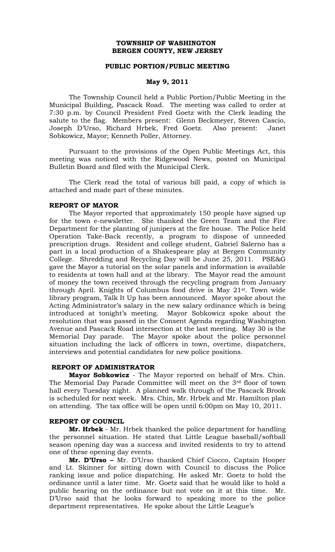# **TOWNSHIP OF WASHINGTON BERGEN COUNTY, NEW JERSEY**

## **PUBLIC PORTION/PUBLIC MEETING**

#### **May 9, 2011**

The Township Council held a Public Portion/Public Meeting in the Municipal Building, Pascack Road. The meeting was called to order at 7:30 p.m. by Council President Fred Goetz with the Clerk leading the salute to the flag. Members present: Glenn Beckmeyer, Steven Cascio, Joseph D'Urso, Richard Hrbek, Fred Goetz. Also present: Janet Sobkowicz, Mayor; Kenneth Poller, Attorney.

Pursuant to the provisions of the Open Public Meetings Act, this meeting was noticed with the Ridgewood News, posted on Municipal Bulletin Board and filed with the Municipal Clerk.

The Clerk read the total of various bill paid, a copy of which is attached and made part of these minutes.

#### **REPORT OF MAYOR**

The Mayor reported that approximately 150 people have signed up for the town e-newsletter. She thanked the Green Team and the Fire Department for the planting of junipers at the fire house. The Police held Operation Take-Back recently, a program to dispose of unneeded prescription drugs. Resident and college student, Gabriel Salerno has a part in a local production of a Shakespeare play at Bergen Community College. Shredding and Recycling Day will be June 25, 2011. PSE&G gave the Mayor a tutorial on the solar panels and information is available to residents at town hall and at the library. The Mayor read the amount of money the town received through the recycling program from January through April. Knights of Columbus food drive is May 21st. Town wide library program, Talk It Up has been announced. Mayor spoke about the Acting Administrator's salary in the new salary ordinance which is being introduced at tonight's meeting. Mayor Sobkowicz spoke about the resolution that was passed in the Consent Agenda regarding Washington Avenue and Pascack Road intersection at the last meeting. May 30 is the Memorial Day parade. The Mayor spoke about the police personnel situation including the lack of officers in town, overtime, dispatchers, interviews and potential candidates for new police positions.

## **REPORT OF ADMINISTRATOR**

**Mayor Sobkowicz** - The Mayor reported on behalf of Mrs. Chin. The Memorial Day Parade Committee will meet on the 3rd floor of town hall every Tuesday night. A planned walk through of the Pascack Brook is scheduled for next week. Mrs. Chin, Mr. Hrbek and Mr. Hamilton plan on attending. The tax office will be open until 6:00pm on May 10, 2011.

#### **REPORT OF COUNCIL**

**Mr. Hrbek** - Mr. Hrbek thanked the police department for handling the personnel situation. He stated that Little League baseball/softball season opening day was a success and invited residents to try to attend one of these opening day events.

**Mr. D'Urso –** Mr. D'Urso thanked Chief Ciocco, Captain Hooper and Lt. Skinner for sitting down with Council to discuss the Police ranking issue and police dispatching. He asked Mr. Goetz to hold the ordinance until a later time. Mr. Goetz said that he would like to hold a public hearing on the ordinance but not vote on it at this time. Mr. D'Urso said that he looks forward to speaking more to the police department representatives. He spoke about the Little League's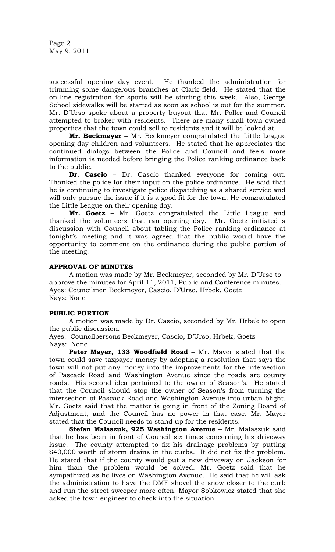Page 2 May 9, 2011

successful opening day event. He thanked the administration for trimming some dangerous branches at Clark field. He stated that the on-line registration for sports will be starting this week. Also, George School sidewalks will be started as soon as school is out for the summer. Mr. D'Urso spoke about a property buyout that Mr. Poller and Council attempted to broker with residents. There are many small town-owned properties that the town could sell to residents and it will be looked at.

**Mr. Beckmeyer** – Mr. Beckmeyer congratulated the Little League opening day children and volunteers. He stated that he appreciates the continued dialogs between the Police and Council and feels more information is needed before bringing the Police ranking ordinance back to the public.

**Dr. Cascio** – Dr. Cascio thanked everyone for coming out. Thanked the police for their input on the police ordinance. He said that he is continuing to investigate police dispatching as a shared service and will only pursue the issue if it is a good fit for the town. He congratulated the Little League on their opening day.

**Mr. Goetz** – Mr. Goetz congratulated the Little League and thanked the volunteers that ran opening day. Mr. Goetz initiated a discussion with Council about tabling the Police ranking ordinance at tonight's meeting and it was agreed that the public would have the opportunity to comment on the ordinance during the public portion of the meeting.

# **APPROVAL OF MINUTES**

A motion was made by Mr. Beckmeyer, seconded by Mr. D'Urso to approve the minutes for April 11, 2011, Public and Conference minutes. Ayes: Councilmen Beckmeyer, Cascio, D'Urso, Hrbek, Goetz Nays: None

#### **PUBLIC PORTION**

A motion was made by Dr. Cascio, seconded by Mr. Hrbek to open the public discussion.

Ayes: Councilpersons Beckmeyer, Cascio, D'Urso, Hrbek, Goetz Nays: None

**Peter Mayer, 133 Woodfield Road** – Mr. Mayer stated that the town could save taxpayer money by adopting a resolution that says the town will not put any money into the improvements for the intersection of Pascack Road and Washington Avenue since the roads are county roads. His second idea pertained to the owner of Season's. He stated that the Council should stop the owner of Season's from turning the intersection of Pascack Road and Washington Avenue into urban blight. Mr. Goetz said that the matter is going in front of the Zoning Board of Adjustment, and the Council has no power in that case. Mr. Mayer stated that the Council needs to stand up for the residents.

**Stefan Malaszuk, 925 Washington Avenue** – Mr. Malaszuk said that he has been in front of Council six times concerning his driveway issue. The county attempted to fix his drainage problems by putting \$40,000 worth of storm drains in the curbs. It did not fix the problem. He stated that if the county would put a new driveway on Jackson for him than the problem would be solved. Mr. Goetz said that he sympathized as he lives on Washington Avenue. He said that he will ask the administration to have the DMF shovel the snow closer to the curb and run the street sweeper more often. Mayor Sobkowicz stated that she asked the town engineer to check into the situation.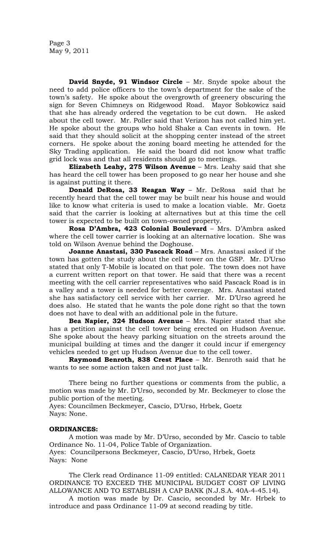Page 3 May 9, 2011

**David Snyde, 91 Windsor Circle** – Mr. Snyde spoke about the need to add police officers to the town's department for the sake of the town's safety. He spoke about the overgrowth of greenery obscuring the sign for Seven Chimneys on Ridgewood Road. Mayor Sobkowicz said that she has already ordered the vegetation to be cut down. He asked about the cell tower. Mr. Poller said that Verizon has not called him yet. He spoke about the groups who hold Shake a Can events in town. He said that they should solicit at the shopping center instead of the street corners. He spoke about the zoning board meeting he attended for the Sky Trading application. He said the board did not know what traffic grid lock was and that all residents should go to meetings.

**Elizabeth Leahy, 275 Wilson Avenue** – Mrs. Leahy said that she has heard the cell tower has been proposed to go near her house and she is against putting it there.

**Donald DeRosa, 33 Reagan Way** – Mr. DeRosa said that he recently heard that the cell tower may be built near his house and would like to know what criteria is used to make a location viable. Mr. Goetz said that the carrier is looking at alternatives but at this time the cell tower is expected to be built on town-owned property.

**Rosa D'Ambra, 423 Colonial Boulevard** – Mrs. D'Ambra asked where the cell tower carrier is looking at an alternative location. She was told on Wilson Avenue behind the Doghouse.

**Joanne Anastasi, 330 Pascack Road** – Mrs. Anastasi asked if the town has gotten the study about the cell tower on the GSP. Mr. D'Urso stated that only T-Mobile is located on that pole. The town does not have a current written report on that tower. He said that there was a recent meeting with the cell carrier representatives who said Pascack Road is in a valley and a tower is needed for better coverage. Mrs. Anastasi stated she has satisfactory cell service with her carrier. Mr. D'Urso agreed he does also. He stated that he wants the pole done right so that the town does not have to deal with an additional pole in the future.

**Bea Napier, 324 Hudson Avenue** – Mrs. Napier stated that she has a petition against the cell tower being erected on Hudson Avenue. She spoke about the heavy parking situation on the streets around the municipal building at times and the danger it could incur if emergency vehicles needed to get up Hudson Avenue due to the cell tower.

**Raymond Benroth, 838 Crest Place** – Mr. Benroth said that he wants to see some action taken and not just talk.

There being no further questions or comments from the public, a motion was made by Mr. D'Urso, seconded by Mr. Beckmeyer to close the public portion of the meeting.

Ayes: Councilmen Beckmeyer, Cascio, D'Urso, Hrbek, Goetz Nays: None.

#### **ORDINANCES:**

A motion was made by Mr. D'Urso, seconded by Mr. Cascio to table Ordinance No. 11-04, Police Table of Organization. Ayes: Councilpersons Beckmeyer, Cascio, D'Urso, Hrbek, Goetz Nays: None

The Clerk read Ordinance 11-09 entitled: CALANEDAR YEAR 2011 ORDINANCE TO EXCEED THE MUNICIPAL BUDGET COST OF LIVING ALLOWANCE AND TO ESTABLISH A CAP BANK (N.J.S.A. 40A-4-45.14).

A motion was made by Dr. Cascio, seconded by Mr. Hrbek to introduce and pass Ordinance 11-09 at second reading by title.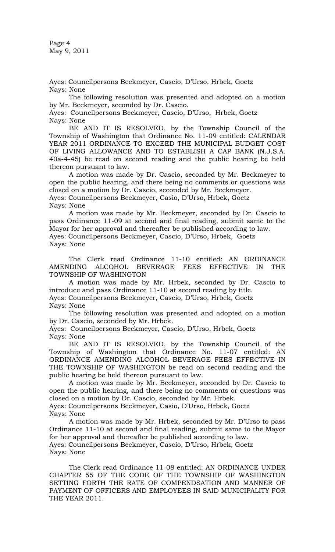Page 4 May 9, 2011

Ayes: Councilpersons Beckmeyer, Cascio, D'Urso, Hrbek, Goetz Nays: None

The following resolution was presented and adopted on a motion by Mr. Beckmeyer, seconded by Dr. Cascio.

Ayes: Councilpersons Beckmeyer, Cascio, D'Urso, Hrbek, Goetz Nays: None

BE AND IT IS RESOLVED, by the Township Council of the Township of Washington that Ordinance No. 11-09 entitled: CALENDAR YEAR 2011 ORDINANCE TO EXCEED THE MUNICIPAL BUDGET COST OF LIVING ALLOWANCE AND TO ESTABLISH A CAP BANK (N.J.S.A. 40a-4-45) be read on second reading and the public hearing be held thereon pursuant to law.

A motion was made by Dr. Cascio, seconded by Mr. Beckmeyer to open the public hearing, and there being no comments or questions was closed on a motion by Dr. Cascio, seconded by Mr. Beckmeyer. Ayes: Councilpersons Beckmeyer, Casio, D'Urso, Hrbek, Goetz Nays: None

A motion was made by Mr. Beckmeyer, seconded by Dr. Cascio to pass Ordinance 11-09 at second and final reading, submit same to the Mayor for her approval and thereafter be published according to law. Ayes: Councilpersons Beckmeyer, Cascio, D'Urso, Hrbek, Goetz Nays: None

The Clerk read Ordinance 11-10 entitled: AN ORDINANCE AMENDING ALCOHOL BEVERAGE FEES EFFECTIVE IN THE TOWNSHIP OF WASHINGTON

A motion was made by Mr. Hrbek, seconded by Dr. Cascio to introduce and pass Ordinance 11-10 at second reading by title. Ayes: Councilpersons Beckmeyer, Cascio, D'Urso, Hrbek, Goetz

Nays: None

The following resolution was presented and adopted on a motion by Dr. Cascio, seconded by Mr. Hrbek.

Ayes: Councilpersons Beckmeyer, Cascio, D'Urso, Hrbek, Goetz Nays: None

BE AND IT IS RESOLVED, by the Township Council of the Township of Washington that Ordinance No. 11-07 entitled: AN ORDINANCE AMENDING ALCOHOL BEVERAGE FEES EFFECTIVE IN THE TOWNSHIP OF WASHINGTON be read on second reading and the public hearing be held thereon pursuant to law.

A motion was made by Mr. Beckmeyer, seconded by Dr. Cascio to open the public hearing, and there being no comments or questions was closed on a motion by Dr. Cascio, seconded by Mr. Hrbek.

Ayes: Councilpersons Beckmeyer, Casio, D'Urso, Hrbek, Goetz Nays: None

A motion was made by Mr. Hrbek, seconded by Mr. D'Urso to pass Ordinance 11-10 at second and final reading, submit same to the Mayor for her approval and thereafter be published according to law. Ayes: Councilpersons Beckmeyer, Cascio, D'Urso, Hrbek, Goetz Nays: None

The Clerk read Ordinance 11-08 entitled: AN ORDINANCE UNDER CHAPTER 55 OF THE CODE OF THE TOWNSHIP OF WASHINGTON SETTING FORTH THE RATE OF COMPENDSATION AND MANNER OF PAYMENT OF OFFICERS AND EMPLOYEES IN SAID MUNICIPALITY FOR THE YEAR 2011.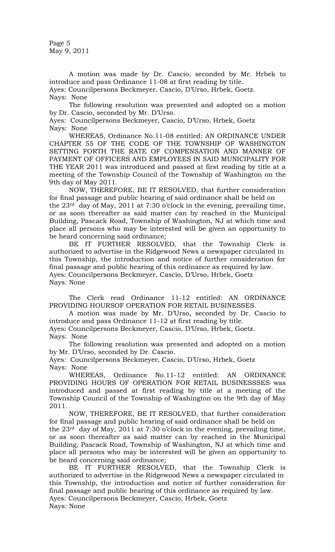Page 5 May 9, 2011

A motion was made by Dr. Cascio, seconded by Mr. Hrbek to introduce and pass Ordinance 11-08 at first reading by title.

Ayes: Councilpersons Beckmeyer, Cascio, D'Urso, Hrbek, Goetz. Nays: None

The following resolution was presented and adopted on a motion by Dr. Cascio, seconded by Mr. D'Urso.

Ayes: Councilpersons Beckmeyer, Cascio, D'Urso, Hrbek, Goetz Nays: None

WHEREAS, Ordinance No.11-08 entitled: AN ORDINANCE UNDER CHAPTER 55 OF THE CODE OF THE TOWNSHIP OF WASHINGTON SETTING FORTH THE RATE OF COMPENSATION AND MANNER OF PAYMENT OF OFFICERS AND EMPLOYEES IN SAID MUNICIPALITY FOR THE YEAR 2011 was introduced and passed at first reading by title at a meeting of the Township Council of the Township of Washington on the 9th day of May 2011.

NOW, THEREFORE, BE IT RESOLVED, that further consideration for final passage and public hearing of said ordinance shall be held on the 23rd day of May, 2011 at 7:30 o'clock in the evening, prevailing time, or as soon thereafter as said matter can by reached in the Municipal Building, Pascack Road, Township of Washington, NJ at which time and place all persons who may be interested will be given an opportunity to be heard concerning said ordinance;

BE IT FURTHER RESOLVED, that the Township Clerk is authorized to advertise in the Ridgewood News a newspaper circulated in this Township, the introduction and notice of further consideration for final passage and public hearing of this ordinance as required by law. Ayes: Councilpersons Beckmeyer, Cascio, D'Urso, Hrbek, Goetz Nays: None

The Clerk read Ordinance 11-12 entitled: AN ORDINANCE PROVIDING HOURSOF OPERATION FOR RETAIL BUSINESSES.

A motion was made by Mr. D'Urso, seconded by Dr. Cascio to introduce and pass Ordinance 11-12 at first reading by title.

Ayes: Councilpersons Beckmeyer, Cascio, D'Urso, Hrbek, Goetz. Nays: None

The following resolution was presented and adopted on a motion by Mr. D'Urso, seconded by Dr. Cascio.

Ayes: Councilpersons Beckmeyer, Cascio, D'Urso, Hrbek, Goetz Nays: None

WHEREAS, Ordinance No.11-12 entitled: AN ORDINANCE PROVIDING HOURS OF OPERATION FOR RETAIL BUSINESSSES was introduced and passed at first reading by title at a meeting of the Township Council of the Township of Washington on the 9th day of May 2011.

NOW, THEREFORE, BE IT RESOLVED, that further consideration for final passage and public hearing of said ordinance shall be held on

the  $23<sup>rd</sup>$  day of May, 2011 at 7:30 o'clock in the evening, prevailing time, or as soon thereafter as said matter can by reached in the Municipal Building, Pascack Road, Township of Washington, NJ at which time and place all persons who may be interested will be given an opportunity to be heard concerning said ordinance;

BE IT FURTHER RESOLVED, that the Township Clerk is authorized to advertise in the Ridgewood News a newspaper circulated in this Township, the introduction and notice of further consideration for final passage and public hearing of this ordinance as required by law. Ayes: Councilpersons Beckmeyer, Cascio, Hrbek, Goetz Nays: None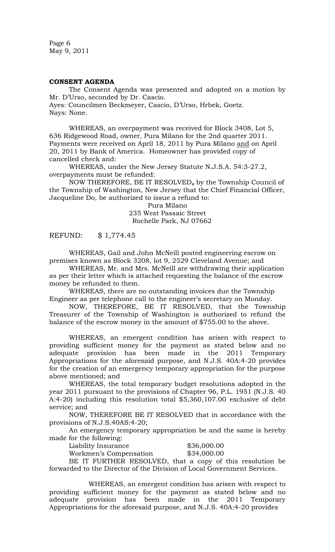Page 6 May 9, 2011

## **CONSENT AGENDA**

The Consent Agenda was presented and adopted on a motion by Mr. D'Urso, seconded by Dr. Cascio.

Ayes: Councilmen Beckmeyer, Cascio, D'Urso, Hrbek, Goetz. Nays: None.

WHEREAS, an overpayment was received for Block 3408, Lot 5, 636 Ridgewood Road, owner, Pura Milano for the 2nd quarter 2011. Payments were received on April 18, 2011 by Pura Milano and on April 20, 2011 by Bank of America. Homeowner has provided copy of cancelled check and:

WHEREAS, under the New Jersey Statute N.J.S.A. 54:3-27.2, overpayments must be refunded:

NOW THEREFORE, BE IT RESOLVED*,* by the Township Council of the Township of Washington, New Jersey that the Chief Financial Officer, Jacqueline Do, be authorized to issue a refund to:

> Pura Milano 235 West Passaic Street Rochelle Park, NJ 07662

REFUND: \$ 1,774.45

WHEREAS, Gail and John McNeill posted engineering escrow on premises known as Block 3208, lot 9, 2529 Cleveland Avenue; and

WHEREAS, Mr. and Mrs. McNeill are withdrawing their application as per their letter which is attached requesting the balance of the escrow money be refunded to them.

WHEREAS, there are no outstanding invoices due the Township Engineer as per telephone call to the engineer's secretary on Monday.

NOW, THEREFORE, BE IT RESOLVED, that the Township Treasurer of the Township of Washington is authorized to refund the balance of the escrow money in the amount of \$755.00 to the above.

WHEREAS, an emergent condition has arisen with respect to providing sufficient money for the payment as stated below and no adequate provision has been made in the 2011 Temporary Appropriations for the aforesaid purpose, and N.J.S. 40A:4-20 provides for the creation of an emergency temporary appropriation for the purpose above mentioned; and

WHEREAS, the total temporary budget resolutions adopted in the year 2011 pursuant to the provisions of Chapter 96, P.L. 1951 (N.J.S. 40 A:4-20) including this resolution total \$5,360,107.00 exclusive of debt service; and

NOW, THEREFORE BE IT RESOLVED that in accordance with the provisions of N.J.S.40AS:4-20;

An emergency temporary appropriation be and the same is hereby made for the following:

Liability Insurance  $$36,000.00$ 

Workmen's Compensation \$34,000.00

BE IT FURTHER RESOLVED, that a copy of this resolution be forwarded to the Director of the Division of Local Government Services.

WHEREAS, an emergent condition has arisen with respect to providing sufficient money for the payment as stated below and no adequate provision has been made in the 2011 Temporary Appropriations for the aforesaid purpose, and N.J.S. 40A:4-20 provides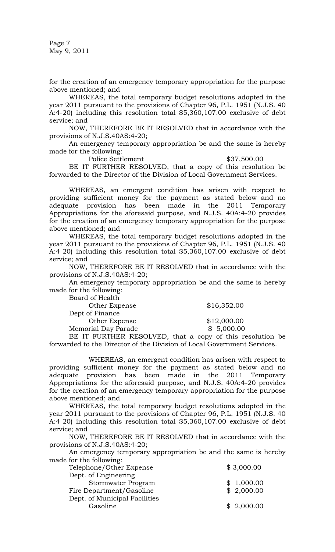Page 7 May 9, 2011

for the creation of an emergency temporary appropriation for the purpose above mentioned; and

WHEREAS, the total temporary budget resolutions adopted in the year 2011 pursuant to the provisions of Chapter 96, P.L. 1951 (N.J.S. 40 A:4-20) including this resolution total \$5,360,107.00 exclusive of debt service; and

NOW, THEREFORE BE IT RESOLVED that in accordance with the provisions of N.J.S.40AS:4-20;

An emergency temporary appropriation be and the same is hereby made for the following:

Police Settlement  $$37,500.00$ 

BE IT FURTHER RESOLVED, that a copy of this resolution be forwarded to the Director of the Division of Local Government Services.

WHEREAS, an emergent condition has arisen with respect to providing sufficient money for the payment as stated below and no adequate provision has been made in the 2011 Temporary Appropriations for the aforesaid purpose, and N.J.S. 40A:4-20 provides for the creation of an emergency temporary appropriation for the purpose above mentioned; and

WHEREAS, the total temporary budget resolutions adopted in the year 2011 pursuant to the provisions of Chapter 96, P.L. 1951 (N.J.S. 40 A:4-20) including this resolution total \$5,360,107.00 exclusive of debt service; and

NOW, THEREFORE BE IT RESOLVED that in accordance with the provisions of N.J.S.40AS:4-20;

An emergency temporary appropriation be and the same is hereby made for the following:

Board of Health Other Expense \$16,352.00 Dept of Finance Other Expense \$12,000.00 Memorial Day Parade  $$5,000.00$ 

BE IT FURTHER RESOLVED, that a copy of this resolution be forwarded to the Director of the Division of Local Government Services.

WHEREAS, an emergent condition has arisen with respect to providing sufficient money for the payment as stated below and no adequate provision has been made in the 2011 Temporary Appropriations for the aforesaid purpose, and N.J.S. 40A:4-20 provides for the creation of an emergency temporary appropriation for the purpose above mentioned; and

WHEREAS, the total temporary budget resolutions adopted in the year 2011 pursuant to the provisions of Chapter 96, P.L. 1951 (N.J.S. 40 A:4-20) including this resolution total \$5,360,107.00 exclusive of debt service; and

NOW, THEREFORE BE IT RESOLVED that in accordance with the provisions of N.J.S.40AS:4-20;

An emergency temporary appropriation be and the same is hereby made for the following:

| \$3,000.00 |
|------------|
|            |
| \$1,000.00 |
| \$2,000.00 |
|            |
|            |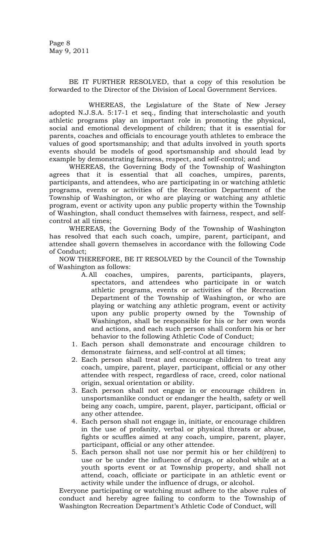BE IT FURTHER RESOLVED, that a copy of this resolution be forwarded to the Director of the Division of Local Government Services.

WHEREAS, the Legislature of the State of New Jersey adopted N.J.S.A. 5:17-1 et seq., finding that interscholastic and youth athletic programs play an important role in promoting the physical, social and emotional development of children; that it is essential for parents, coaches and officials to encourage youth athletes to embrace the values of good sportsmanship; and that adults involved in youth sports events should be models of good sportsmanship and should lead by example by demonstrating fairness, respect, and self-control; and

WHEREAS, the Governing Body of the Township of Washington agrees that it is essential that all coaches, umpires, parents, participants, and attendees, who are participating in or watching athletic programs, events or activities of the Recreation Department of the Township of Washington, or who are playing or watching any athletic program, event or activity upon any public property within the Township of Washington, shall conduct themselves with fairness, respect, and selfcontrol at all times;

WHEREAS, the Governing Body of the Township of Washington has resolved that each such coach, umpire, parent, participant, and attendee shall govern themselves in accordance with the following Code of Conduct;

NOW THEREFORE, BE IT RESOLVED by the Council of the Township of Washington as follows:

- A.All coaches, umpires, parents, participants, players, spectators, and attendees who participate in or watch athletic programs, events or activities of the Recreation Department of the Township of Washington, or who are playing or watching any athletic program, event or activity upon any public property owned by the Township of Washington, shall be responsible for his or her own words and actions, and each such person shall conform his or her behavior to the following Athletic Code of Conduct;
- 1. Each person shall demonstrate and encourage children to demonstrate fairness, and self-control at all times;
- 2. Each person shall treat and encourage children to treat any coach, umpire, parent, player, participant, official or any other attendee with respect, regardless of race, creed, color national origin, sexual orientation or ability.
- 3. Each person shall not engage in or encourage children in unsportsmanlike conduct or endanger the health, safety or well being any coach, umpire, parent, player, participant, official or any other attendee.
- 4. Each person shall not engage in, initiate, or encourage children in the use of profanity, verbal or physical threats or abuse, fights or scuffles aimed at any coach, umpire, parent, player, participant, official or any other attendee.
- 5. Each person shall not use nor permit his or her child(ren) to use or be under the influence of drugs, or alcohol while at a youth sports event or at Township property, and shall not attend, coach, officiate or participate in an athletic event or activity while under the influence of drugs, or alcohol.

 Everyone participating or watching must adhere to the above rules of conduct and hereby agree failing to conform to the Township of Washington Recreation Department's Athletic Code of Conduct, will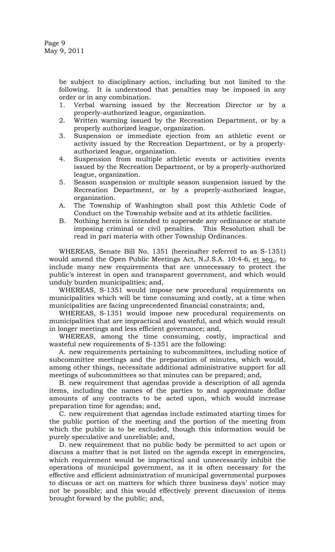be subject to disciplinary action, including but not limited to the following. It is understood that penalties may be imposed in any order or in any combination.

- 1. Verbal warning issued by the Recreation Director or by a properly-authorized league, organization.
- 2. Written warning issued by the Recreation Department, or by a properly authorized league, organization.
- 3. Suspension or immediate ejection from an athletic event or activity issued by the Recreation Department, or by a properlyauthorized league, organization.
- 4. Suspension from multiple athletic events or activities events issued by the Recreation Department, or by a properly-authorized league, organization.
- 5. Season suspension or multiple season suspension issued by the Recreation Department, or by a properly-authorized league, organization.
- A. The Township of Washington shall post this Athletic Code of Conduct on the Township website and at its athletic facilities.
- B. Nothing herein is intended to supersede any ordinance or statute imposing criminal or civil penalties. This Resolution shall be read in pari materia with other Township Ordinances.

WHEREAS, Senate Bill No. 1351 (hereinafter referred to as S-1351) would amend the Open Public Meetings Act, N.J.S.A. 10:4-6, et seq., to include many new requirements that are unnecessary to protect the public's interest in open and transparent government, and which would unduly burden municipalities; and,

WHEREAS, S-1351 would impose new procedural requirements on municipalities which will be time consuming and costly, at a time when municipalities are facing unprecedented financial constraints; and,

WHEREAS, S-1351 would impose new procedural requirements on municipalities that are impractical and wasteful, and which would result in longer meetings and less efficient governance; and,

WHEREAS, among the time consuming, costly, impractical and wasteful new requirements of S-1351 are the following:

A. new requirements pertaining to subcommittees, including notice of subcommittee meetings and the preparation of minutes, which would, among other things, necessitate additional administrative support for all meetings of subcommittees so that minutes can be prepared; and,

B. new requirement that agendas provide a description of all agenda items, including the names of the parties to and approximate dollar amounts of any contracts to be acted upon, which would increase preparation time for agendas; and,

C. new requirement that agendas include estimated starting times for the public portion of the meeting and the portion of the meeting from which the public is to be excluded, though this information would be purely speculative and unreliable; and,

D. new requirement that no public body be permitted to act upon or discuss a matter that is not listed on the agenda except in emergencies, which requirement would be impractical and unnecessarily inhibit the operations of municipal government, as it is often necessary for the effective and efficient administration of municipal governmental purposes to discuss or act on matters for which three business days' notice may not be possible; and this would effectively prevent discussion of items brought forward by the public; and,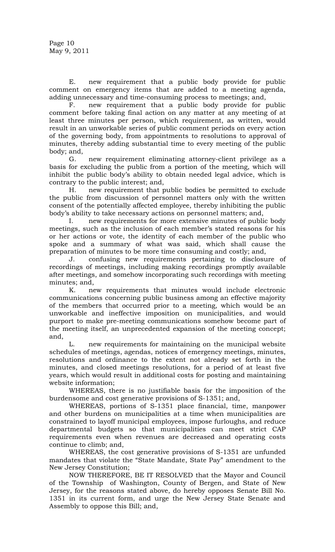E. new requirement that a public body provide for public comment on emergency items that are added to a meeting agenda, adding unnecessary and time-consuming process to meetings; and,

F. new requirement that a public body provide for public comment before taking final action on any matter at any meeting of at least three minutes per person, which requirement, as written, would result in an unworkable series of public comment periods on every action of the governing body, from appointments to resolutions to approval of minutes, thereby adding substantial time to every meeting of the public body; and,

G. new requirement eliminating attorney-client privilege as a basis for excluding the public from a portion of the meeting, which will inhibit the public body's ability to obtain needed legal advice, which is contrary to the public interest; and,

H. new requirement that public bodies be permitted to exclude the public from discussion of personnel matters only with the written consent of the potentially affected employee, thereby inhibiting the public body's ability to take necessary actions on personnel matters; and,

I. new requirements for more extensive minutes of public body meetings, such as the inclusion of each member's stated reasons for his or her actions or vote, the identity of each member of the public who spoke and a summary of what was said, which shall cause the preparation of minutes to be more time consuming and costly; and,

J. confusing new requirements pertaining to disclosure of recordings of meetings, including making recordings promptly available after meetings, and somehow incorporating such recordings with meeting minutes; and,

K. new requirements that minutes would include electronic communications concerning public business among an effective majority of the members that occurred prior to a meeting, which would be an unworkable and ineffective imposition on municipalities, and would purport to make pre-meeting communications somehow become part of the meeting itself, an unprecedented expansion of the meeting concept; and,

L. new requirements for maintaining on the municipal website schedules of meetings, agendas, notices of emergency meetings, minutes, resolutions and ordinance to the extent not already set forth in the minutes, and closed meetings resolutions, for a period of at least five years, which would result in additional costs for posting and maintaining website information;

WHEREAS, there is no justifiable basis for the imposition of the burdensome and cost generative provisions of S-1351; and,

WHEREAS, portions of S-1351 place financial, time, manpower and other burdens on municipalities at a time when municipalities are constrained to layoff municipal employees, impose furloughs, and reduce departmental budgets so that municipalities can meet strict CAP requirements even when revenues are decreased and operating costs continue to climb; and,

WHEREAS, the cost generative provisions of S-1351 are unfunded mandates that violate the "State Mandate, State Pay" amendment to the New Jersey Constitution;

NOW THEREFORE, BE IT RESOLVED that the Mayor and Council of the Township of Washington, County of Bergen, and State of New Jersey, for the reasons stated above, do hereby opposes Senate Bill No. 1351 in its current form, and urge the New Jersey State Senate and Assembly to oppose this Bill; and,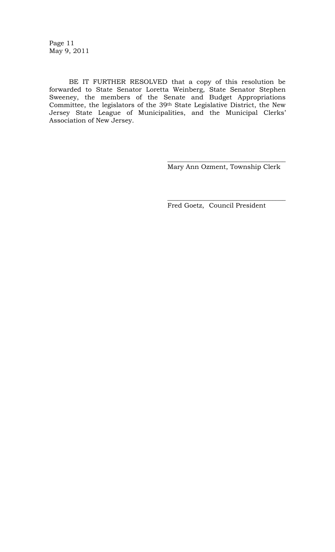Page 11 May 9, 2011

BE IT FURTHER RESOLVED that a copy of this resolution be forwarded to State Senator Loretta Weinberg, State Senator Stephen Sweeney, the members of the Senate and Budget Appropriations Committee, the legislators of the 39th State Legislative District, the New Jersey State League of Municipalities, and the Municipal Clerks' Association of New Jersey.

> \_\_\_\_\_\_\_\_\_\_\_\_\_\_\_\_\_\_\_\_\_\_\_\_\_\_\_\_\_\_\_\_\_\_\_\_ Mary Ann Ozment, Township Clerk

\_\_\_\_\_\_\_\_\_\_\_\_\_\_\_\_\_\_\_\_\_\_\_\_\_\_\_\_\_\_\_\_\_\_\_\_

Fred Goetz, Council President